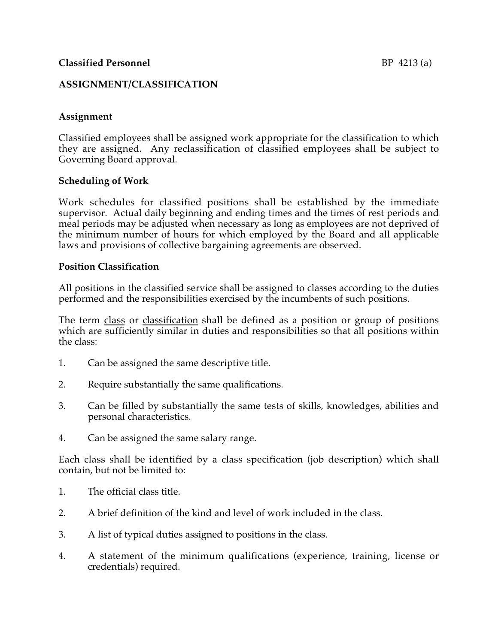## **ASSIGNMENT/CLASSIFICATION**

## **Assignment**

Classified employees shall be assigned work appropriate for the classification to which they are assigned. Any reclassification of classified employees shall be subject to Governing Board approval.

### **Scheduling of Work**

Work schedules for classified positions shall be established by the immediate supervisor. Actual daily beginning and ending times and the times of rest periods and meal periods may be adjusted when necessary as long as employees are not deprived of the minimum number of hours for which employed by the Board and all applicable laws and provisions of collective bargaining agreements are observed.

#### **Position Classification**

All positions in the classified service shall be assigned to classes according to the duties performed and the responsibilities exercised by the incumbents of such positions.

The term class or classification shall be defined as a position or group of positions which are sufficiently similar in duties and responsibilities so that all positions within the class:

- 1. Can be assigned the same descriptive title.
- 2. Require substantially the same qualifications.
- 3. Can be filled by substantially the same tests of skills, knowledges, abilities and personal characteristics.
- 4. Can be assigned the same salary range.

Each class shall be identified by a class specification (job description) which shall contain, but not be limited to:

- 1. The official class title.
- 2. A brief definition of the kind and level of work included in the class.
- 3. A list of typical duties assigned to positions in the class.
- 4. A statement of the minimum qualifications (experience, training, license or credentials) required.